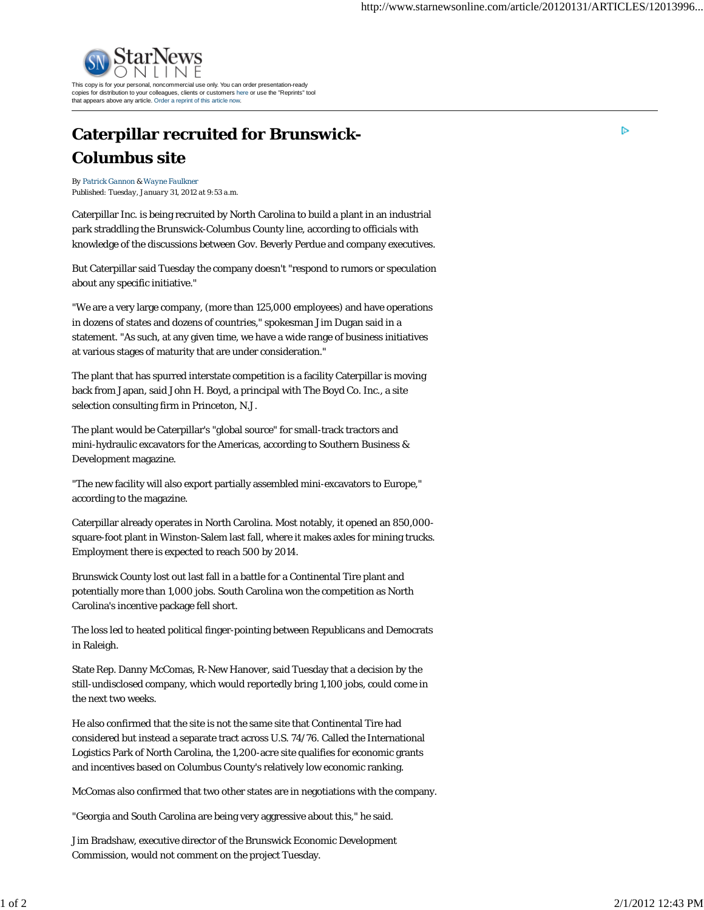

## **Caterpillar recruited for Brunswick-Columbus site**

*By Patrick Gannon & Wayne Faulkner Published: Tuesday, January 31, 2012 at 9:53 a.m.*

Caterpillar Inc. is being recruited by North Carolina to build a plant in an industrial park straddling the Brunswick-Columbus County line, according to officials with knowledge of the discussions between Gov. Beverly Perdue and company executives.

But Caterpillar said Tuesday the company doesn't "respond to rumors or speculation about any specific initiative."

"We are a very large company, (more than 125,000 employees) and have operations in dozens of states and dozens of countries," spokesman Jim Dugan said in a statement. "As such, at any given time, we have a wide range of business initiatives at various stages of maturity that are under consideration."

The plant that has spurred interstate competition is a facility Caterpillar is moving back from Japan, said John H. Boyd, a principal with The Boyd Co. Inc., a site selection consulting firm in Princeton, N.J.

The plant would be Caterpillar's "global source" for small-track tractors and mini-hydraulic excavators for the Americas, according to Southern Business & Development magazine.

"The new facility will also export partially assembled mini-excavators to Europe," according to the magazine.

Caterpillar already operates in North Carolina. Most notably, it opened an 850,000 square-foot plant in Winston-Salem last fall, where it makes axles for mining trucks. Employment there is expected to reach 500 by 2014.

Brunswick County lost out last fall in a battle for a Continental Tire plant and potentially more than 1,000 jobs. South Carolina won the competition as North Carolina's incentive package fell short.

The loss led to heated political finger-pointing between Republicans and Democrats in Raleigh.

State Rep. Danny McComas, R-New Hanover, said Tuesday that a decision by the still-undisclosed company, which would reportedly bring 1,100 jobs, could come in the next two weeks.

He also confirmed that the site is not the same site that Continental Tire had considered but instead a separate tract across U.S. 74/76. Called the International Logistics Park of North Carolina, the 1,200-acre site qualifies for economic grants and incentives based on Columbus County's relatively low economic ranking.

McComas also confirmed that two other states are in negotiations with the company.

"Georgia and South Carolina are being very aggressive about this," he said.

Jim Bradshaw, executive director of the Brunswick Economic Development Commission, would not comment on the project Tuesday.

D